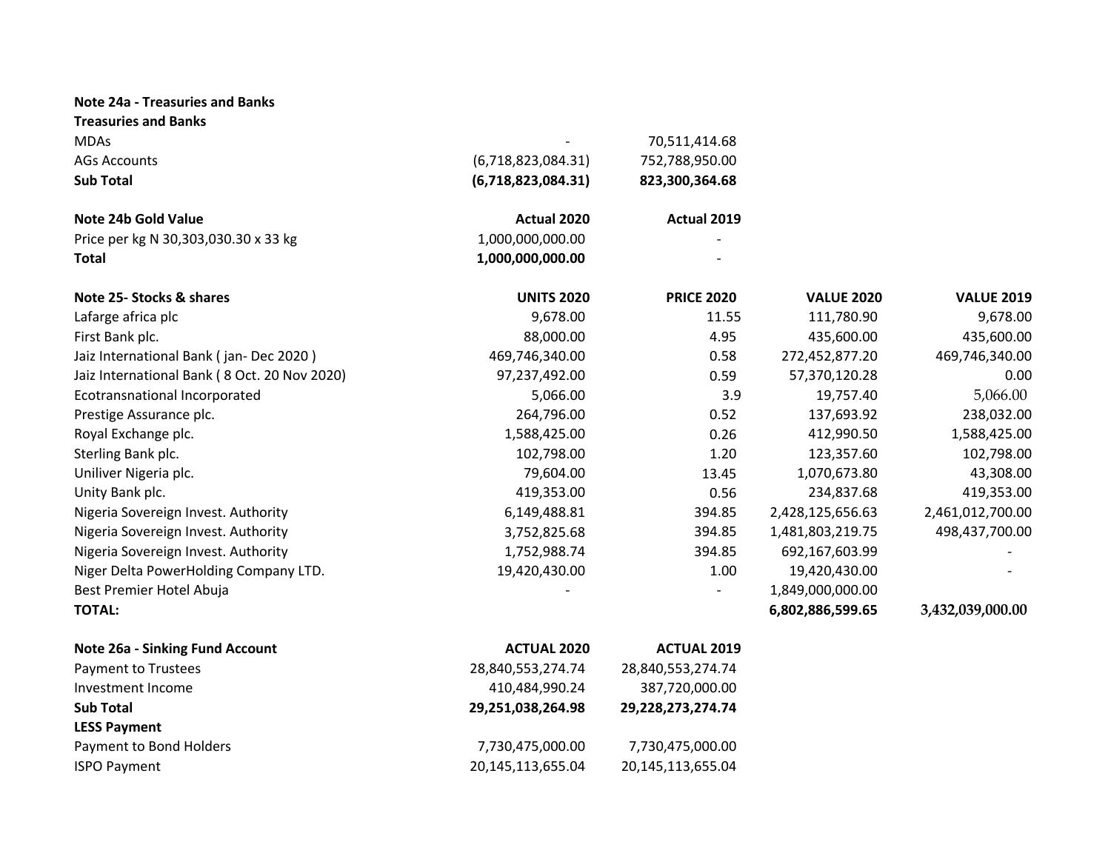| <b>Note 24a - Treasuries and Banks</b>       |                    |                    |                   |                   |
|----------------------------------------------|--------------------|--------------------|-------------------|-------------------|
| <b>Treasuries and Banks</b>                  |                    |                    |                   |                   |
| <b>MDAs</b>                                  |                    | 70,511,414.68      |                   |                   |
| <b>AGs Accounts</b>                          | (6,718,823,084.31) | 752,788,950.00     |                   |                   |
| <b>Sub Total</b>                             | (6,718,823,084.31) | 823,300,364.68     |                   |                   |
| Note 24b Gold Value                          | Actual 2020        | Actual 2019        |                   |                   |
| Price per kg N 30,303,030.30 x 33 kg         | 1,000,000,000.00   |                    |                   |                   |
| <b>Total</b>                                 | 1,000,000,000.00   |                    |                   |                   |
| Note 25- Stocks & shares                     | <b>UNITS 2020</b>  | <b>PRICE 2020</b>  | <b>VALUE 2020</b> | <b>VALUE 2019</b> |
| Lafarge africa plc                           | 9,678.00           | 11.55              | 111,780.90        | 9,678.00          |
| First Bank plc.                              | 88,000.00          | 4.95               | 435,600.00        | 435,600.00        |
| Jaiz International Bank (jan-Dec 2020)       | 469,746,340.00     | 0.58               | 272,452,877.20    | 469,746,340.00    |
| Jaiz International Bank (8 Oct. 20 Nov 2020) | 97,237,492.00      | 0.59               | 57,370,120.28     | 0.00              |
| Ecotransnational Incorporated                | 5,066.00           | 3.9                | 19,757.40         | 5,066.00          |
| Prestige Assurance plc.                      | 264,796.00         | 0.52               | 137,693.92        | 238,032.00        |
| Royal Exchange plc.                          | 1,588,425.00       | 0.26               | 412,990.50        | 1,588,425.00      |
| Sterling Bank plc.                           | 102,798.00         | 1.20               | 123,357.60        | 102,798.00        |
| Uniliver Nigeria plc.                        | 79,604.00          | 13.45              | 1,070,673.80      | 43,308.00         |
| Unity Bank plc.                              | 419,353.00         | 0.56               | 234,837.68        | 419,353.00        |
| Nigeria Sovereign Invest. Authority          | 6,149,488.81       | 394.85             | 2,428,125,656.63  | 2,461,012,700.00  |
| Nigeria Sovereign Invest. Authority          | 3,752,825.68       | 394.85             | 1,481,803,219.75  | 498,437,700.00    |
| Nigeria Sovereign Invest. Authority          | 1,752,988.74       | 394.85             | 692,167,603.99    |                   |
| Niger Delta PowerHolding Company LTD.        | 19,420,430.00      | 1.00               | 19,420,430.00     |                   |
| Best Premier Hotel Abuja                     |                    |                    | 1,849,000,000.00  |                   |
| <b>TOTAL:</b>                                |                    |                    | 6,802,886,599.65  | 3,432,039,000.00  |
| <b>Note 26a - Sinking Fund Account</b>       | <b>ACTUAL 2020</b> | <b>ACTUAL 2019</b> |                   |                   |
| <b>Payment to Trustees</b>                   | 28,840,553,274.74  | 28,840,553,274.74  |                   |                   |
| Investment Income                            | 410,484,990.24     | 387,720,000.00     |                   |                   |
| <b>Sub Total</b>                             | 29,251,038,264.98  | 29,228,273,274.74  |                   |                   |
| <b>LESS Payment</b>                          |                    |                    |                   |                   |
| Payment to Bond Holders                      | 7,730,475,000.00   | 7,730,475,000.00   |                   |                   |
| <b>ISPO Payment</b>                          | 20,145,113,655.04  | 20,145,113,655.04  |                   |                   |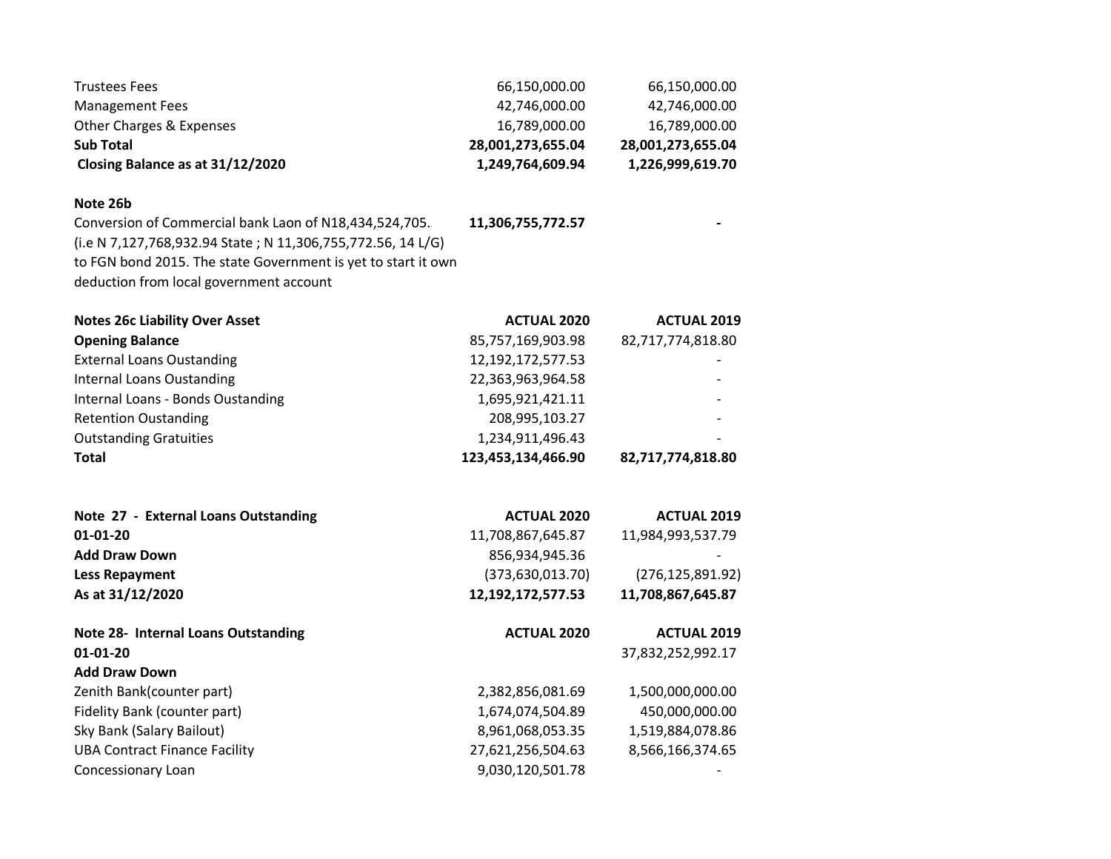| Closing Balance as at 31/12/2020 | 1,249,764,609.94  | 1,226,999,619.70  |
|----------------------------------|-------------------|-------------------|
| <b>Sub Total</b>                 | 28,001,273,655.04 | 28,001,273,655.04 |
| Other Charges & Expenses         | 16,789,000.00     | 16,789,000.00     |
| <b>Management Fees</b>           | 42,746,000.00     | 42,746,000.00     |
| Trustees Fees                    | 66,150,000.00     | 66,150,000.00     |

## **Note 26b**

Conversion of Commercial bank Laon of N18,434,524,705. **11,306,755,772.57** -(i.e N 7,127,768,932.94 State ; N 11,306,755,772.56, 14 L/G) to FGN bond 2015. The state Government is yet to start it own deduction from local government account

| <b>Notes 26c Liability Over Asset</b> | <b>ACTUAL 2020</b> | <b>ACTUAL 2019</b>           |
|---------------------------------------|--------------------|------------------------------|
| <b>Opening Balance</b>                | 85,757,169,903.98  | 82,717,774,818.80            |
| <b>External Loans Oustanding</b>      | 12,192,172,577.53  |                              |
| Internal Loans Oustanding             | 22,363,963,964.58  |                              |
| Internal Loans - Bonds Oustanding     | 1,695,921,421.11   |                              |
| <b>Retention Oustanding</b>           | 208,995,103.27     | $\qquad \qquad \blacksquare$ |
| <b>Outstanding Gratuities</b>         | 1,234,911,496.43   |                              |
| <b>Total</b>                          | 123,453,134,466.90 | 82,717,774,818.80            |

| Note 27 - External Loans Outstanding | <b>ACTUAL 2020</b> | <b>ACTUAL 2019</b> |
|--------------------------------------|--------------------|--------------------|
| 01-01-20                             | 11,708,867,645.87  | 11,984,993,537.79  |
| <b>Add Draw Down</b>                 | 856,934,945.36     |                    |
| <b>Less Repayment</b>                | (373, 630, 013.70) | (276, 125, 891.92) |
| As at 31/12/2020                     | 12,192,172,577.53  | 11,708,867,645.87  |
| Note 28- Internal Loans Outstanding  | <b>ACTUAL 2020</b> | <b>ACTUAL 2019</b> |
| $01 - 01 - 20$                       |                    | 37,832,252,992.17  |
| <b>Add Draw Down</b>                 |                    |                    |
| Zenith Bank(counter part)            | 2,382,856,081.69   | 1,500,000,000.00   |
| Fidelity Bank (counter part)         | 1,674,074,504.89   | 450,000,000.00     |
| Sky Bank (Salary Bailout)            | 8,961,068,053.35   | 1,519,884,078.86   |
| <b>UBA Contract Finance Facility</b> | 27,621,256,504.63  | 8,566,166,374.65   |
| Concessionary Loan                   | 9,030,120,501.78   |                    |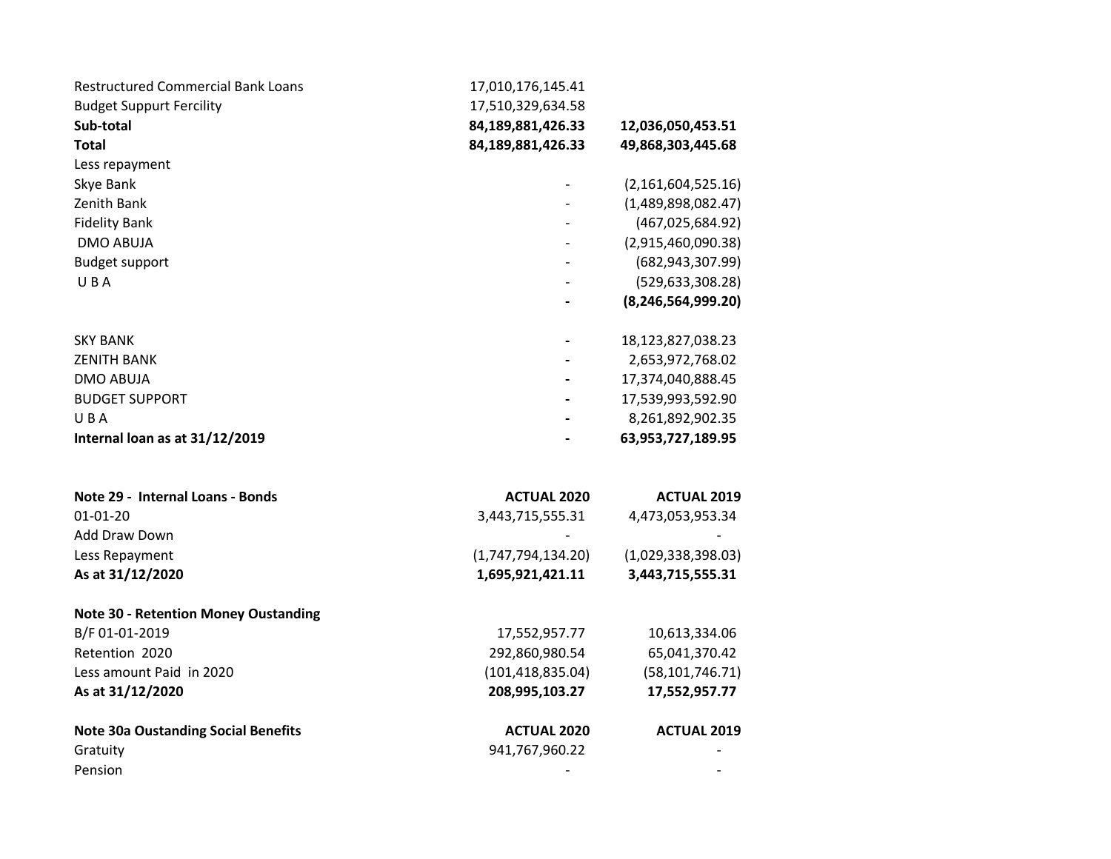| 17,010,176,145.41 |                       |
|-------------------|-----------------------|
| 17,510,329,634.58 |                       |
| 84,189,881,426.33 | 12,036,050,453.51     |
| 84,189,881,426.33 | 49,868,303,445.68     |
|                   |                       |
|                   | (2,161,604,525.16)    |
|                   | (1,489,898,082.47)    |
|                   | (467, 025, 684.92)    |
|                   | (2,915,460,090.38)    |
|                   | (682, 943, 307.99)    |
|                   | (529, 633, 308.28)    |
|                   | (8, 246, 564, 999.20) |
|                   | 18,123,827,038.23     |
|                   | 2,653,972,768.02      |
|                   | 17,374,040,888.45     |
|                   | 17,539,993,592.90     |
|                   | 8,261,892,902.35      |
|                   | 63,953,727,189.95     |
|                   |                       |

| Note 29 - Internal Loans - Bonds            | <b>ACTUAL 2020</b> | <b>ACTUAL 2019</b> |
|---------------------------------------------|--------------------|--------------------|
| $01 - 01 - 20$                              | 3,443,715,555.31   | 4,473,053,953.34   |
| Add Draw Down                               |                    |                    |
| Less Repayment                              | (1,747,794,134.20) | (1,029,338,398.03) |
| As at 31/12/2020                            | 1,695,921,421.11   | 3,443,715,555.31   |
| <b>Note 30 - Retention Money Oustanding</b> |                    |                    |
| B/F 01-01-2019                              | 17,552,957.77      | 10,613,334.06      |
| Retention 2020                              | 292,860,980.54     | 65,041,370.42      |
| Less amount Paid in 2020                    | (101, 418, 835.04) | (58, 101, 746.71)  |
| As at 31/12/2020                            | 208,995,103.27     | 17,552,957.77      |
| <b>Note 30a Oustanding Social Benefits</b>  | <b>ACTUAL 2020</b> | <b>ACTUAL 2019</b> |
| Gratuity                                    | 941,767,960.22     |                    |
| Pension                                     |                    |                    |